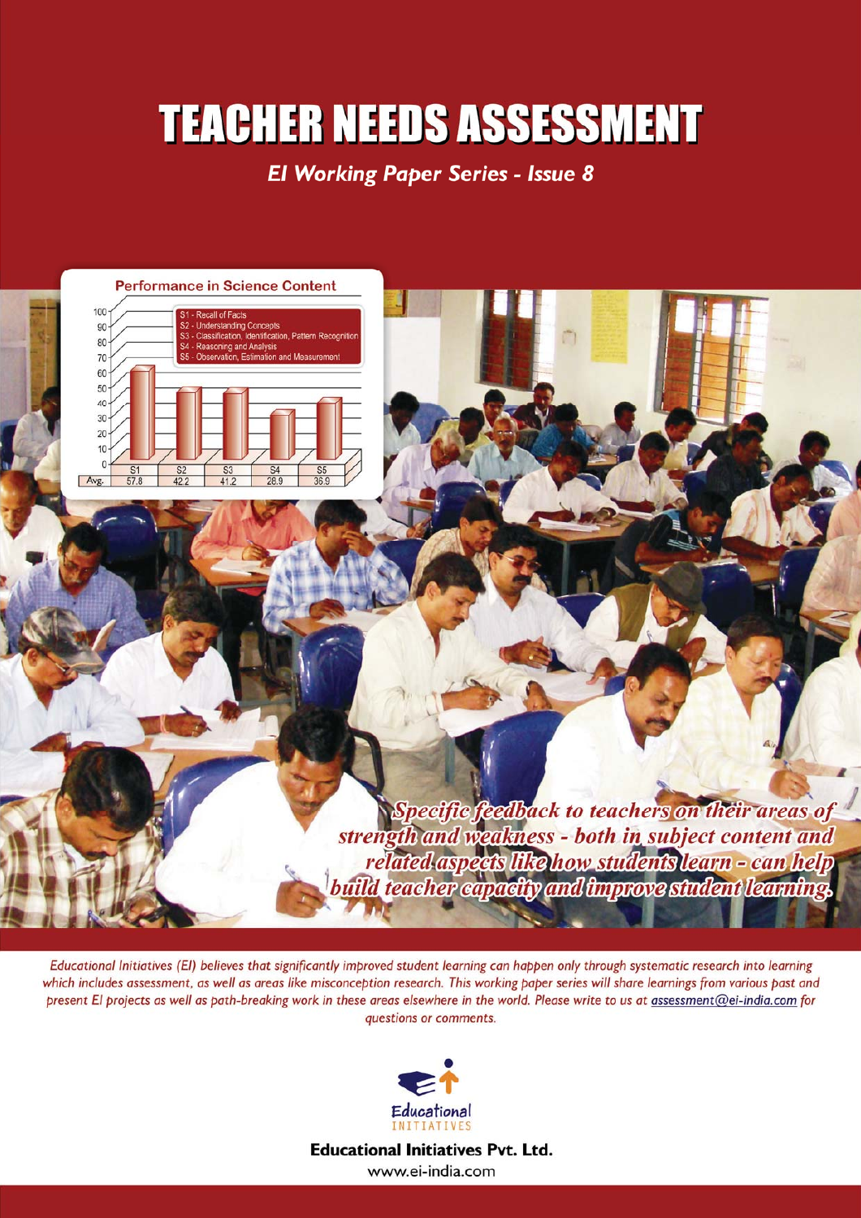# **TEACHER NEEDS ASSESSMENT**

**El Working Paper Series - Issue 8** 



Educational Initiatives (EI) believes that significantly improved student learning can happen only through systematic research into learning which includes assessment, as well as areas like misconception research. This working paper series will share learnings from various past and present El projects as well as path-breaking work in these areas elsewhere in the world. Please write to us at assessment@ei-india.com for questions or comments.



**Educational Initiatives Pvt. Ltd.** www.ei-india.com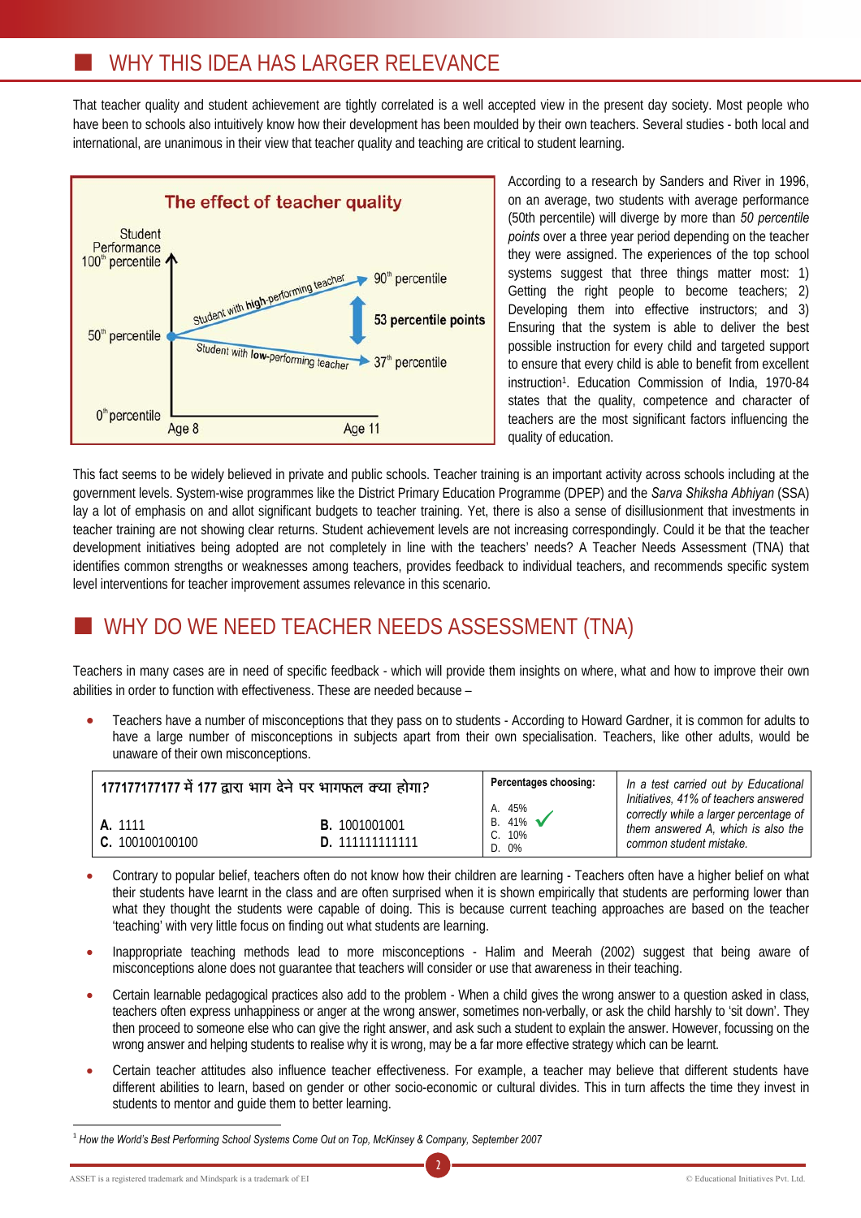### WHY THIS IDEA HAS LARGER RELEVANCE

That teacher quality and student achievement are tightly correlated is a well accepted view in the present day society. Most people who have been to schools also intuitively know how their development has been moulded by their own teachers. Several studies - both local and international, are unanimous in their view that teacher quality and teaching are critical to student learning.



According to a research by Sanders and River in 1996, on an average, two students with average performance (50th percentile) will diverge by more than *50 percentile points* over a three year period depending on the teacher they were assigned. The experiences of the top school systems suggest that three things matter most: 1) Getting the right people to become teachers; 2) Developing them into effective instructors; and 3) Ensuring that the system is able to deliver the best possible instruction for every child and targeted support to ensure that every child is able to benefit from excellent instruction1. Education Commission of India, 1970-84 states that the quality, competence and character of teachers are the most significant factors influencing the quality of education.

This fact seems to be widely believed in private and public schools. Teacher training is an important activity across schools including at the government levels. System-wise programmes like the District Primary Education Programme (DPEP) and the *Sarva Shiksha Abhiyan* (SSA) lay a lot of emphasis on and allot significant budgets to teacher training. Yet, there is also a sense of disillusionment that investments in teacher training are not showing clear returns. Student achievement levels are not increasing correspondingly. Could it be that the teacher development initiatives being adopted are not completely in line with the teachers' needs? A Teacher Needs Assessment (TNA) that identifies common strengths or weaknesses among teachers, provides feedback to individual teachers, and recommends specific system level interventions for teacher improvement assumes relevance in this scenario.

# WHY DO WE NEED TEACHER NEEDS ASSESSMENT (TNA)

Teachers in many cases are in need of specific feedback - which will provide them insights on where, what and how to improve their own abilities in order to function with effectiveness. These are needed because –

Teachers have a number of misconceptions that they pass on to students - According to Howard Gardner, it is common for adults to have a large number of misconceptions in subjects apart from their own specialisation. Teachers, like other adults, would be unaware of their own misconceptions.

| 177177177177 में 177 द्वारा भाग देने पर भागफल क्या होगा? |                      | Percentages choosing:                  | In a test carried out by Educational<br>Initiatives, 41% of teachers answered                           |
|----------------------------------------------------------|----------------------|----------------------------------------|---------------------------------------------------------------------------------------------------------|
| A. 1111<br>C. 100100100100                               | <b>B.</b> 1001001001 | A. 45%<br>B. $41\%$<br>C. 10%<br>D. 0% | correctly while a larger percentage of<br>them answered A, which is also the<br>common student mistake. |

- Contrary to popular belief, teachers often do not know how their children are learning Teachers often have a higher belief on what their students have learnt in the class and are often surprised when it is shown empirically that students are performing lower than what they thought the students were capable of doing. This is because current teaching approaches are based on the teacher 'teaching' with very little focus on finding out what students are learning.
- Inappropriate teaching methods lead to more misconceptions Halim and Meerah (2002) suggest that being aware of misconceptions alone does not guarantee that teachers will consider or use that awareness in their teaching.
- Certain learnable pedagogical practices also add to the problem When a child gives the wrong answer to a question asked in class, teachers often express unhappiness or anger at the wrong answer, sometimes non-verbally, or ask the child harshly to 'sit down'. They then proceed to someone else who can give the right answer, and ask such a student to explain the answer. However, focussing on the wrong answer and helping students to realise why it is wrong, may be a far more effective strategy which can be learnt.
- Certain teacher attitudes also influence teacher effectiveness. For example, a teacher may believe that different students have different abilities to learn, based on gender or other socio-economic or cultural divides. This in turn affects the time they invest in students to mentor and guide them to better learning.

 $\overline{a}$ <sup>1</sup> *How the World's Best Performing School Systems Come Out on Top, McKinsey & Company, September 2007*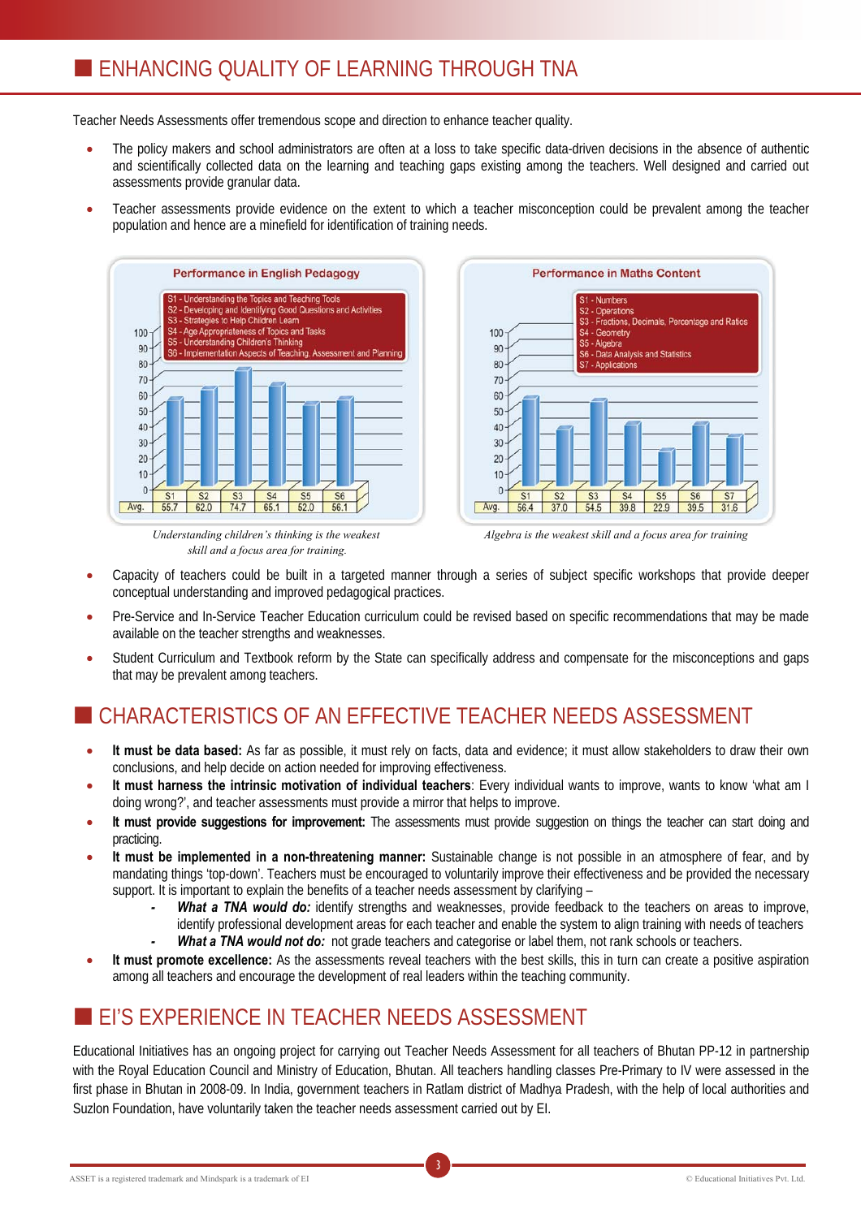## **ENHANCING OUALITY OF LEARNING THROUGH TNA**

Teacher Needs Assessments offer tremendous scope and direction to enhance teacher quality.

- The policy makers and school administrators are often at a loss to take specific data-driven decisions in the absence of authentic and scientifically collected data on the learning and teaching gaps existing among the teachers. Well designed and carried out assessments provide granular data.
- Teacher assessments provide evidence on the extent to which a teacher misconception could be prevalent among the teacher population and hence are a minefield for identification of training needs.



*Understanding children's thinking is the weakest skill and a focus area for training.* 



*Algebra is the weakest skill and a focus area for training* 

- Capacity of teachers could be built in a targeted manner through a series of subject specific workshops that provide deeper conceptual understanding and improved pedagogical practices.
- Pre-Service and In-Service Teacher Education curriculum could be revised based on specific recommendations that may be made available on the teacher strengths and weaknesses.
- Student Curriculum and Textbook reform by the State can specifically address and compensate for the misconceptions and gaps that may be prevalent among teachers.

# CHARACTERISTICS OF AN EFFECTIVE TEACHER NEEDS ASSESSMENT

- It must be data based: As far as possible, it must rely on facts, data and evidence; it must allow stakeholders to draw their own conclusions, and help decide on action needed for improving effectiveness.
- x **It must harness the intrinsic motivation of individual teachers**: Every individual wants to improve, wants to know 'what am I doing wrong?', and teacher assessments must provide a mirror that helps to improve.
- **It must provide suggestions for improvement:** The assessments must provide suggestion on things the teacher can start doing and practicing.
- **It must be implemented in a non-threatening manner:** Sustainable change is not possible in an atmosphere of fear, and by mandating things 'top-down'. Teachers must be encouraged to voluntarily improve their effectiveness and be provided the necessary support. It is important to explain the benefits of a teacher needs assessment by clarifying –
	- *- What a TNA would do:* identify strengths and weaknesses, provide feedback to the teachers on areas to improve, identify professional development areas for each teacher and enable the system to align training with needs of teachers *- What a TNA would not do:* not grade teachers and categorise or label them, not rank schools or teachers.
- It must promote excellence: As the assessments reveal teachers with the best skills, this in turn can create a positive aspiration among all teachers and encourage the development of real leaders within the teaching community.

### **EI'S EXPERIENCE IN TEACHER NEEDS ASSESSMENT**

Educational Initiatives has an ongoing project for carrying out Teacher Needs Assessment for all teachers of Bhutan PP-12 in partnership with the Royal Education Council and Ministry of Education, Bhutan. All teachers handling classes Pre-Primary to IV were assessed in the first phase in Bhutan in 2008-09. In India, government teachers in Ratlam district of Madhya Pradesh, with the help of local authorities and Suzlon Foundation, have voluntarily taken the teacher needs assessment carried out by EI.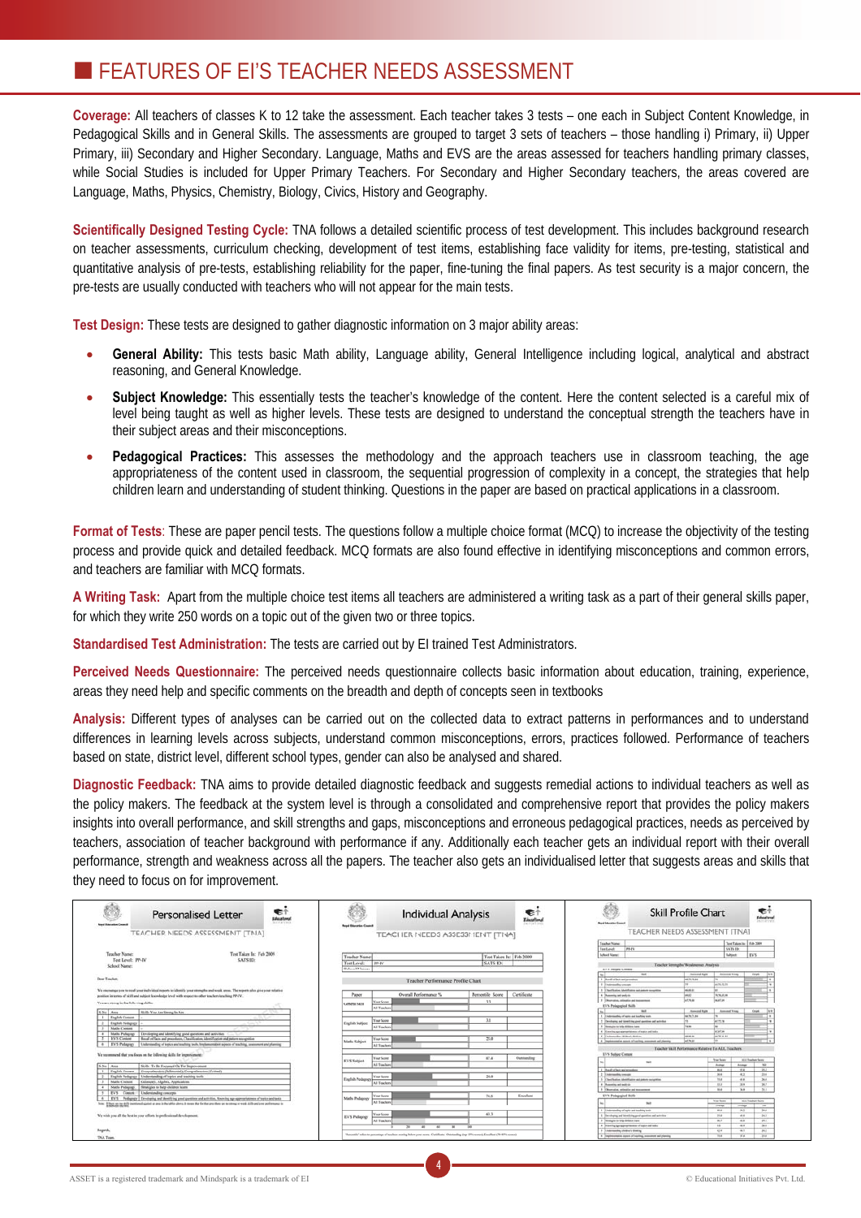## **FEATURES OF EI'S TEACHER NEEDS ASSESSMENT**

**Coverage:** All teachers of classes K to 12 take the assessment. Each teacher takes 3 tests – one each in Subject Content Knowledge, in Pedagogical Skills and in General Skills. The assessments are grouped to target 3 sets of teachers – those handling i) Primary, ii) Upper Primary, iii) Secondary and Higher Secondary. Language, Maths and EVS are the areas assessed for teachers handling primary classes, while Social Studies is included for Upper Primary Teachers. For Secondary and Higher Secondary teachers, the areas covered are Language, Maths, Physics, Chemistry, Biology, Civics, History and Geography.

**Scientifically Designed Testing Cycle:** TNA follows a detailed scientific process of test development. This includes background research on teacher assessments, curriculum checking, development of test items, establishing face validity for items, pre-testing, statistical and quantitative analysis of pre-tests, establishing reliability for the paper, fine-tuning the final papers. As test security is a major concern, the pre-tests are usually conducted with teachers who will not appear for the main tests.

**Test Design:** These tests are designed to gather diagnostic information on 3 major ability areas:

- **General Ability:** This tests basic Math ability, Language ability, General Intelligence including logical, analytical and abstract reasoning, and General Knowledge.
- **Subject Knowledge:** This essentially tests the teacher's knowledge of the content. Here the content selected is a careful mix of level being taught as well as higher levels. These tests are designed to understand the conceptual strength the teachers have in their subject areas and their misconceptions.
- **Pedagogical Practices:** This assesses the methodology and the approach teachers use in classroom teaching, the age appropriateness of the content used in classroom, the sequential progression of complexity in a concept, the strategies that help children learn and understanding of student thinking. Questions in the paper are based on practical applications in a classroom.

**Format of Tests**: These are paper pencil tests. The questions follow a multiple choice format (MCQ) to increase the objectivity of the testing process and provide quick and detailed feedback. MCQ formats are also found effective in identifying misconceptions and common errors, and teachers are familiar with MCQ formats.

**A Writing Task:** Apart from the multiple choice test items all teachers are administered a writing task as a part of their general skills paper, for which they write 250 words on a topic out of the given two or three topics.

**Standardised Test Administration:** The tests are carried out by EI trained Test Administrators.

Perceived Needs Questionnaire: The perceived needs questionnaire collects basic information about education, training, experience, areas they need help and specific comments on the breadth and depth of concepts seen in textbooks

**Analysis:** Different types of analyses can be carried out on the collected data to extract patterns in performances and to understand differences in learning levels across subjects, understand common misconceptions, errors, practices followed. Performance of teachers based on state, district level, different school types, gender can also be analysed and shared.

**Diagnostic Feedback:** TNA aims to provide detailed diagnostic feedback and suggests remedial actions to individual teachers as well as the policy makers. The feedback at the system level is through a consolidated and comprehensive report that provides the policy makers insights into overall performance, and skill strengths and gaps, misconceptions and erroneous pedagogical practices, needs as perceived by teachers, association of teacher background with performance if any. Additionally each teacher gets an individual report with their overall performance, strength and weakness across all the papers. The teacher also gets an individualised letter that suggests areas and skills that they need to focus on for improvement.

| <b>Road Education Council</b>           | Personalised Letter                                                                                                                                               | 毛个<br>Educational<br><b>RIPARTINES</b> | <b>Royal Education Council</b> | <b>Individual Analysis</b>                                                                                                               |                  | €<br>Educational<br>aiflative | <b>Board Education Council</b>        |                                                            | <b>Skill Profile Chart</b>                          |                     |                          | €<br>Educations                |
|-----------------------------------------|-------------------------------------------------------------------------------------------------------------------------------------------------------------------|----------------------------------------|--------------------------------|------------------------------------------------------------------------------------------------------------------------------------------|------------------|-------------------------------|---------------------------------------|------------------------------------------------------------|-----------------------------------------------------|---------------------|--------------------------|--------------------------------|
|                                         | TEACHER NEEDS ASSESSMENT [TNA]                                                                                                                                    |                                        |                                | TEACHER NEEDS ASSESSMENT [TNA]                                                                                                           |                  |                               |                                       | TEACHER NEEDS ASSESSMENT ITNAT                             |                                                     |                     |                          |                                |
|                                         |                                                                                                                                                                   |                                        |                                |                                                                                                                                          |                  |                               |                                       |                                                            |                                                     |                     |                          |                                |
|                                         |                                                                                                                                                                   |                                        |                                |                                                                                                                                          |                  |                               | <b>Teacher Name</b><br>Tax Louis      | PP-FV                                                      |                                                     | <b>LATS IDE</b>     | Tex Takes In: 1 Feb 2009 |                                |
| Teacher Name:                           | Test Taken In: Teb 2009                                                                                                                                           |                                        |                                |                                                                                                                                          |                  |                               | <b>Informat Names</b>                 |                                                            |                                                     | <b>Subject:</b>     | <b>LVS</b>               |                                |
| Test Level: PP-IV                       | SATS ID:                                                                                                                                                          |                                        | <b>Teacher Name</b>            |                                                                                                                                          |                  | Test Taken In: Feb 2009       |                                       |                                                            |                                                     |                     |                          |                                |
| School Name:                            |                                                                                                                                                                   |                                        | Test Level:                    | PP-IV                                                                                                                                    | <b>SATS ID</b>   |                               |                                       |                                                            | Teacher Strengths Wesknesser Analysis               |                     |                          |                                |
|                                         |                                                                                                                                                                   |                                        | School Name:                   |                                                                                                                                          |                  |                               | <b>EVE Sellent Content</b>            |                                                            |                                                     |                     |                          |                                |
|                                         |                                                                                                                                                                   |                                        |                                |                                                                                                                                          |                  |                               |                                       | <b>WE</b>                                                  | Assnated Right                                      | Annuned Wrang       |                          | <b>Cargoli</b><br><b>Three</b> |
| Dear Teacher.                           |                                                                                                                                                                   |                                        |                                | Teacher Performance Profile Chart                                                                                                        |                  |                               | Though of Texts and investment        |                                                            | HE TL TEAH                                          |                     |                          |                                |
|                                         |                                                                                                                                                                   |                                        |                                |                                                                                                                                          |                  |                               | <b>Their media create</b>             |                                                            |                                                     | 141.75.75.75        |                          |                                |
|                                         | We encourage you to read your individual reports to identify your strengths and weak areas. The reports also give your relative                                   |                                        |                                |                                                                                                                                          |                  |                               |                                       | Checkening Modellanes and assure competitive               | <b>MARK</b>                                         |                     |                          |                                |
|                                         | position in terms of skill and subject knowledge level with respect to other teachers teaching PP-IV.                                                             |                                        | Paper                          | Overall Performance %                                                                                                                    | Percentile Score | Certificate                   | Thomas in and work in                 |                                                            | (mus)                                               | TRUSIA MI           |                          |                                |
| You are strong in the following skills: |                                                                                                                                                                   |                                        | General Skill                  | lour Score                                                                                                                               | 33               |                               |                                       | Thursday crimeirs and passenger                            | <b>ALTIMAK</b>                                      | <b>Incerton</b>     |                          |                                |
|                                         |                                                                                                                                                                   |                                        |                                | <b>All Teacher</b>                                                                                                                       |                  |                               | EVS. Pedagogical Skills               |                                                            |                                                     |                     |                          |                                |
| S.No. Area                              | Skills You Are Strong In Are                                                                                                                                      |                                        |                                |                                                                                                                                          |                  |                               |                                       | $\overline{a}$                                             | Associated Marin                                    | Annuned Wring       | <b>Case</b>              | <b>Target</b>                  |
| English Content                         |                                                                                                                                                                   |                                        |                                |                                                                                                                                          |                  |                               |                                       | Enderswelling of topics and leading such                   | <b>NO. 70 TV, 84</b>                                |                     |                          |                                |
| <b>English Pedagogy</b>                 |                                                                                                                                                                   |                                        | <b>English Subject</b>         | <b>Vest Score</b>                                                                                                                        | 3.1              |                               |                                       | Chryslephy, and identifying great gentions and auto-hist   |                                                     | 41.71%              |                          |                                |
| <b>Maths Coonset</b>                    |                                                                                                                                                                   |                                        |                                | All Teacher                                                                                                                              |                  |                               | Strengter to fully didden have        |                                                            | 79.90                                               |                     |                          |                                |
| Maths Pedagogy                          | Developing and identifying good gacotions and activities                                                                                                          |                                        |                                |                                                                                                                                          |                  |                               |                                       | Kenning age appropriations of suite and inde-              |                                                     | let art as          |                          |                                |
| EVS Content                             | Recall of fairs and procedures. Chasilleation, identification and autum recognition                                                                               |                                        | Made Subject                   | <b>Four Score</b>                                                                                                                        | 25.0             |                               | <b>Enderstading Aldere's Bridge</b>   | 1 Transmission again of suchra, announce and planni        | Tom and Are<br>and Penalt                           | <b>DAA 70 AU AU</b> |                          |                                |
|                                         | EVS Polapagy   Understanding of topics and teaching tools, Insulancesticit aspects of teaching, assessment and planning                                           |                                        |                                | All Towher                                                                                                                               |                  |                               |                                       |                                                            |                                                     |                     |                          |                                |
|                                         |                                                                                                                                                                   |                                        |                                |                                                                                                                                          |                  |                               |                                       |                                                            | Teacher Skill Performance Relative To ALL Teachers' |                     |                          |                                |
|                                         | We recommend that you focus on the following skills for improvement:                                                                                              |                                        |                                |                                                                                                                                          |                  |                               | EVS Subject Company                   |                                                            |                                                     |                     |                          |                                |
|                                         |                                                                                                                                                                   |                                        | EVS Subject                    | <b>Veur Score</b>                                                                                                                        | 57.4             | Outstanding                   |                                       | <b>SO</b>                                                  |                                                     | <b>Text Scope</b>   | ALL Tracher Score        |                                |
| S.No. Area.                             | Skills To Be Freamed On For housescenes                                                                                                                           |                                        |                                | <b>All Teacher</b>                                                                                                                       |                  |                               |                                       |                                                            |                                                     | Annual.             | Annual:                  | $\mathbf{w}$                   |
| English Conners                         | Compulsavion (Inferential), Compulsavion (Critical)                                                                                                               |                                        |                                |                                                                                                                                          |                  |                               | Road of late and procedures           |                                                            |                                                     | m.s.                | yta:                     | $28.2 -$                       |
|                                         | English Pedagogy   Understanding of topics and teaching tools                                                                                                     |                                        |                                | <b>Vest Score</b>                                                                                                                        | 34.0             |                               | <b>Endrawable insurer</b>             |                                                            |                                                     | 36.6                | 413                      | 23.6                           |
| Maths Content                           | Goomery, Algebra, Applications                                                                                                                                    |                                        | <b>English Pedagogy</b>        | All Teacher                                                                                                                              |                  |                               |                                       | Classification Mentitlesine and pattern compilies          |                                                     | 718                 | $-0.8$                   | 36.0                           |
| Maths Pedagogy.                         | Strategies to belp children learn                                                                                                                                 |                                        |                                |                                                                                                                                          |                  |                               | Receive and wait on                   |                                                            |                                                     | 33.2                | 28.9                     | 367                            |
|                                         | EVS Concert Understanding concepts                                                                                                                                |                                        |                                |                                                                                                                                          |                  |                               |                                       | Churchis, release and managered                            |                                                     | me.                 | 368                      | $28.8 -$                       |
|                                         | EVS Pediatra's Developing and identifying good questions and activities. Knowing non-appropriateness of society and tester                                        |                                        | Maths Pedagogy                 | <b>Vour Score</b>                                                                                                                        | 74.8             | Excellent                     | <b>EVV. Pedagogical Skills</b>        |                                                            |                                                     |                     |                          |                                |
|                                         | Sole: If there are no delife permanent against an area in the tables above, it means that the that area there are no enoug or week skills and your performance in |                                        |                                | All Teacher                                                                                                                              |                  |                               |                                       | <b>NO</b>                                                  |                                                     | <b>Your fours</b>   | ALL Trackers Sures       |                                |
| as buttomer the term.                   |                                                                                                                                                                   |                                        |                                |                                                                                                                                          |                  |                               |                                       |                                                            |                                                     | <b>Avenue</b>       | <b>Seewer</b>            | $-840$                         |
|                                         |                                                                                                                                                                   |                                        |                                | <b>View Score</b>                                                                                                                        | 63.3             |                               |                                       | Enderstading of topics and teaching took                   |                                                     | ms.                 | 98.2                     | 39.6                           |
|                                         | We wish you all the best in your efforts in professional development                                                                                              |                                        | <b>EVS Pedagogy</b>            |                                                                                                                                          |                  |                               |                                       | Developing and labelifying good guestions and activities   |                                                     | 314<br>$-$          | $-46.6$                  | $34.2 -$                       |
|                                         |                                                                                                                                                                   |                                        |                                | <b>All Teacher</b>                                                                                                                       |                  |                               | <b>Thompton to help children have</b> | Electric spragmantaneou of calor and tests                 |                                                     | $^{46}$             | 418<br>$-$               | 28.8<br>$38.0 -$               |
| Reports.                                |                                                                                                                                                                   |                                        |                                | $20 - 20$<br>$-$<br><b>AD</b><br>$\sim$                                                                                                  | --<br>1009       |                               | 7 Stadementing shidests detains       |                                                            |                                                     | 416                 | $+1$                     | mt.                            |
|                                         |                                                                                                                                                                   |                                        |                                | "Penetile' relen to penentage of teachers sooring below your score. Certificate: Outstanding (top 13% seores), Excellent (70.83% scores) |                  |                               |                                       | A Trademonialist agents of business incomment and classify |                                                     | TLE <sup>1</sup>    | sta.                     | 71.6                           |
| TNA Team                                |                                                                                                                                                                   |                                        |                                |                                                                                                                                          |                  |                               |                                       |                                                            |                                                     |                     |                          |                                |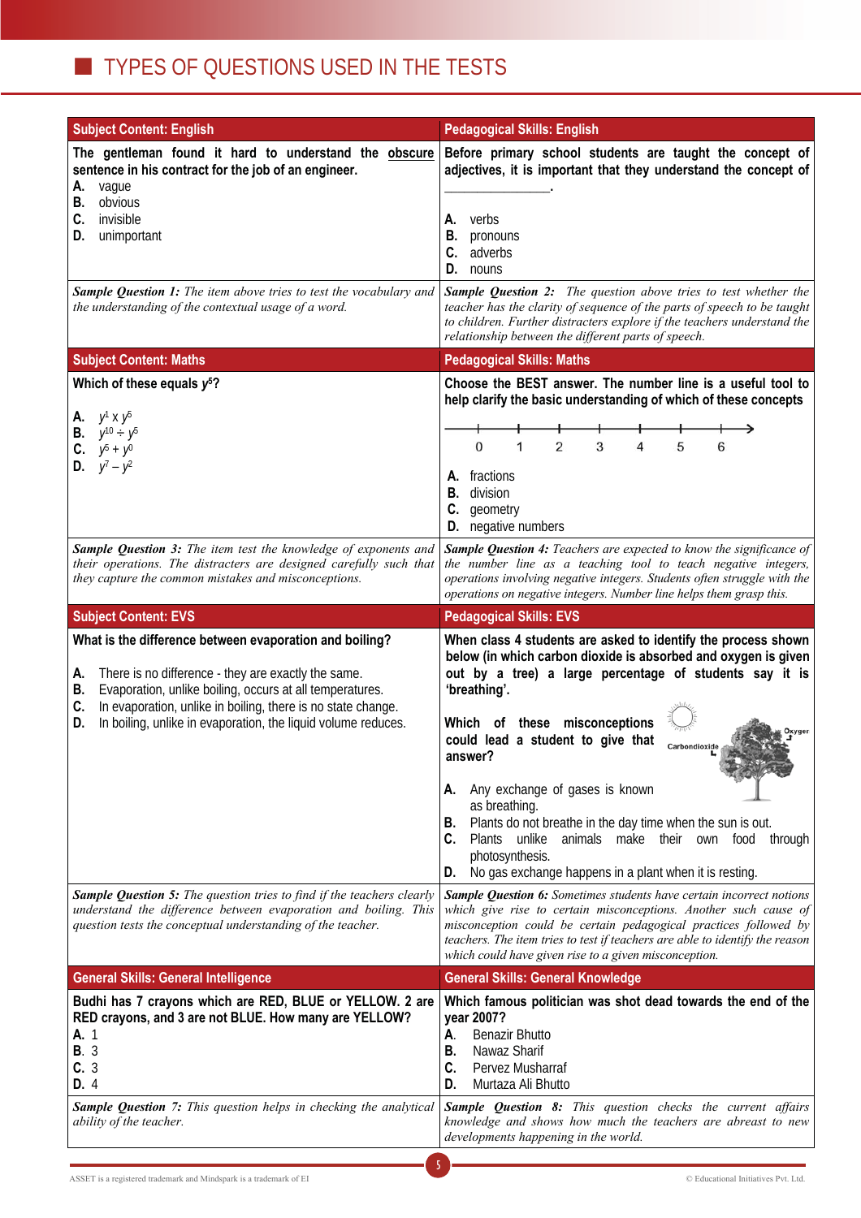| <b>Subject Content: English</b>                                                                                                                                                                                                                                                                                                     | <b>Pedagogical Skills: English</b>                                                                                                                                                                                                                                                                                                                                                                                                                                                                                                                                                                            |  |  |  |
|-------------------------------------------------------------------------------------------------------------------------------------------------------------------------------------------------------------------------------------------------------------------------------------------------------------------------------------|---------------------------------------------------------------------------------------------------------------------------------------------------------------------------------------------------------------------------------------------------------------------------------------------------------------------------------------------------------------------------------------------------------------------------------------------------------------------------------------------------------------------------------------------------------------------------------------------------------------|--|--|--|
| The gentleman found it hard to understand the obscure<br>sentence in his contract for the job of an engineer.<br>vague<br>Α.<br>obvious<br>В.<br>C.<br>invisible<br>unimportant<br>D.                                                                                                                                               | Before primary school students are taught the concept of<br>adjectives, it is important that they understand the concept of<br>verbs<br>А.<br>В.<br>pronouns<br>adverbs<br>C.<br>D.<br>nouns                                                                                                                                                                                                                                                                                                                                                                                                                  |  |  |  |
| Sample Question 1: The item above tries to test the vocabulary and<br>the understanding of the contextual usage of a word.                                                                                                                                                                                                          | <b>Sample Question 2:</b> The question above tries to test whether the<br>teacher has the clarity of sequence of the parts of speech to be taught<br>to children. Further distracters explore if the teachers understand the<br>relationship between the different parts of speech.                                                                                                                                                                                                                                                                                                                           |  |  |  |
| <b>Subject Content: Maths</b>                                                                                                                                                                                                                                                                                                       | <b>Pedagogical Skills: Maths</b>                                                                                                                                                                                                                                                                                                                                                                                                                                                                                                                                                                              |  |  |  |
| Which of these equals $y^5$ ?<br>$y^1 \times y^5$<br>Α.<br><b>B.</b> $y^{10} \div y^5$<br><b>C.</b> $y^5 + y^0$<br>$y^7 - y^2$                                                                                                                                                                                                      | Choose the BEST answer. The number line is a useful tool to<br>help clarify the basic understanding of which of these concepts<br>$\overline{2}$<br>3<br>$\Omega$<br>5<br>1<br>4<br>6<br>A. fractions<br><b>B.</b> division<br>C.<br>geometry<br><b>D.</b> negative numbers                                                                                                                                                                                                                                                                                                                                   |  |  |  |
| Sample Question 3: The item test the knowledge of exponents and<br>their operations. The distracters are designed carefully such that<br>they capture the common mistakes and misconceptions.                                                                                                                                       | Sample Question 4: Teachers are expected to know the significance of<br>the number line as a teaching tool to teach negative integers,<br>operations involving negative integers. Students often struggle with the<br>operations on negative integers. Number line helps them grasp this.                                                                                                                                                                                                                                                                                                                     |  |  |  |
| <b>Subject Content: EVS</b>                                                                                                                                                                                                                                                                                                         | <b>Pedagogical Skills: EVS</b>                                                                                                                                                                                                                                                                                                                                                                                                                                                                                                                                                                                |  |  |  |
| What is the difference between evaporation and boiling?<br>There is no difference - they are exactly the same.<br>Α.<br>Evaporation, unlike boiling, occurs at all temperatures.<br>В.<br>In evaporation, unlike in boiling, there is no state change.<br>C.<br>In boiling, unlike in evaporation, the liquid volume reduces.<br>D. | When class 4 students are asked to identify the process shown<br>below (in which carbon dioxide is absorbed and oxygen is given<br>out by a tree) a large percentage of students say it is<br>'breathing'.<br>Which of these misconceptions<br>Oxygen<br>could lead a student to give that<br>Carbondioxide<br>answer?<br>Any exchange of gases is known<br>Α.<br>as breathing.<br>Plants do not breathe in the day time when the sun is out.<br>В.<br>Plants unlike<br>C.<br>animals make their<br>own<br>food<br>through<br>photosynthesis.<br>No gas exchange happens in a plant when it is resting.<br>D. |  |  |  |
| Sample Question 5: The question tries to find if the teachers clearly<br>understand the difference between evaporation and boiling. This<br>question tests the conceptual understanding of the teacher.                                                                                                                             | <b>Sample Question 6:</b> Sometimes students have certain incorrect notions<br>which give rise to certain misconceptions. Another such cause of<br>misconception could be certain pedagogical practices followed by<br>teachers. The item tries to test if teachers are able to identify the reason<br>which could have given rise to a given misconception.                                                                                                                                                                                                                                                  |  |  |  |
| <b>General Skills: General Intelligence</b>                                                                                                                                                                                                                                                                                         | <b>General Skills: General Knowledge</b>                                                                                                                                                                                                                                                                                                                                                                                                                                                                                                                                                                      |  |  |  |
| Budhi has 7 crayons which are RED, BLUE or YELLOW. 2 are<br>RED crayons, and 3 are not BLUE. How many are YELLOW?<br>A. 1<br><b>B.</b> 3<br>C.3<br>D. 4                                                                                                                                                                             | Which famous politician was shot dead towards the end of the<br>year 2007?<br><b>Benazir Bhutto</b><br>А.<br>Nawaz Sharif<br>В.<br>Pervez Musharraf<br>C.<br>Murtaza Ali Bhutto<br>D.                                                                                                                                                                                                                                                                                                                                                                                                                         |  |  |  |
| Sample Question 7: This question helps in checking the analytical<br>ability of the teacher.                                                                                                                                                                                                                                        | Sample Question 8: This question checks the current affairs<br>knowledge and shows how much the teachers are abreast to new<br>developments happening in the world.                                                                                                                                                                                                                                                                                                                                                                                                                                           |  |  |  |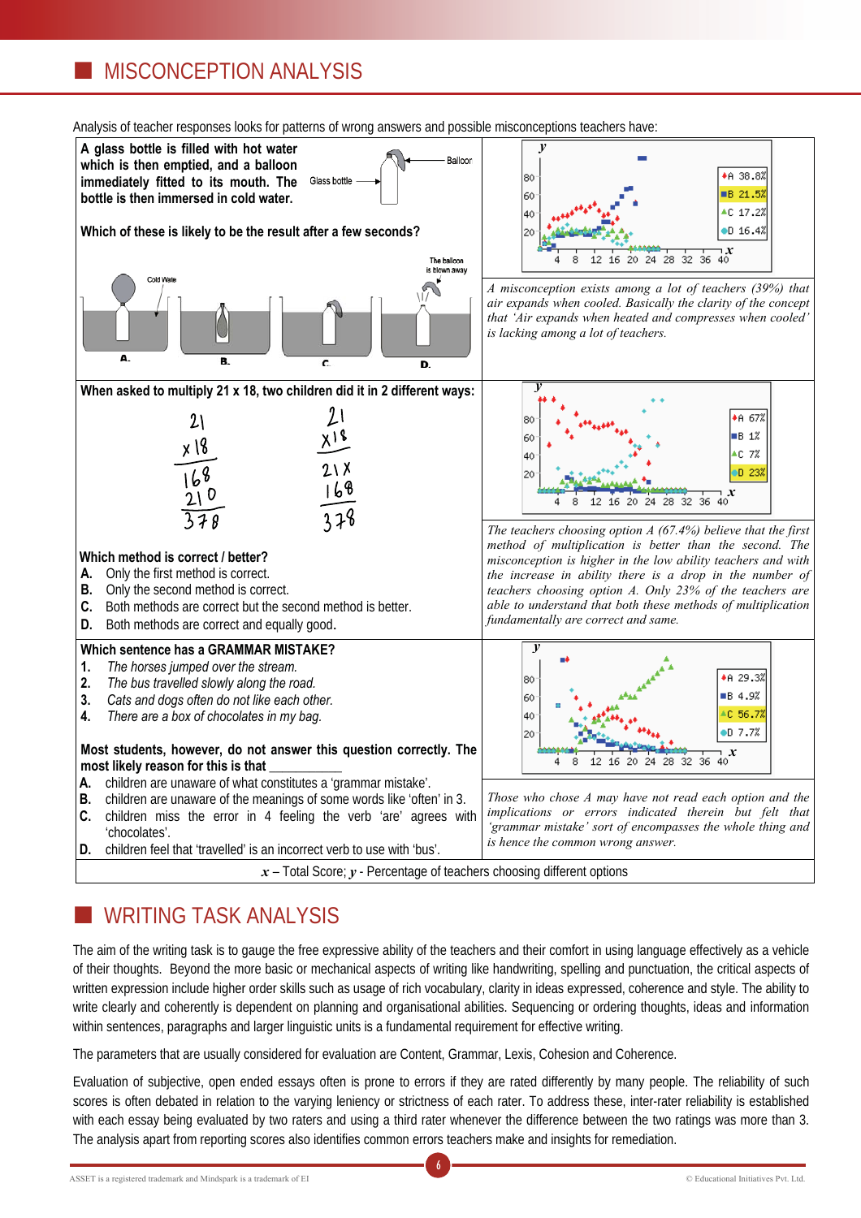## **MISCONCEPTION ANALYSIS**



#### Analysis of teacher responses looks for patterns of wrong answers and possible misconceptions teachers have:

## WRITING TASK ANALYSIS

The aim of the writing task is to gauge the free expressive ability of the teachers and their comfort in using language effectively as a vehicle of their thoughts. Beyond the more basic or mechanical aspects of writing like handwriting, spelling and punctuation, the critical aspects of written expression include higher order skills such as usage of rich vocabulary, clarity in ideas expressed, coherence and style. The ability to write clearly and coherently is dependent on planning and organisational abilities. Sequencing or ordering thoughts, ideas and information within sentences, paragraphs and larger linguistic units is a fundamental requirement for effective writing.

The parameters that are usually considered for evaluation are Content, Grammar, Lexis, Cohesion and Coherence.

Evaluation of subjective, open ended essays often is prone to errors if they are rated differently by many people. The reliability of such scores is often debated in relation to the varying leniency or strictness of each rater. To address these, inter-rater reliability is established with each essay being evaluated by two raters and using a third rater whenever the difference between the two ratings was more than 3. The analysis apart from reporting scores also identifies common errors teachers make and insights for remediation.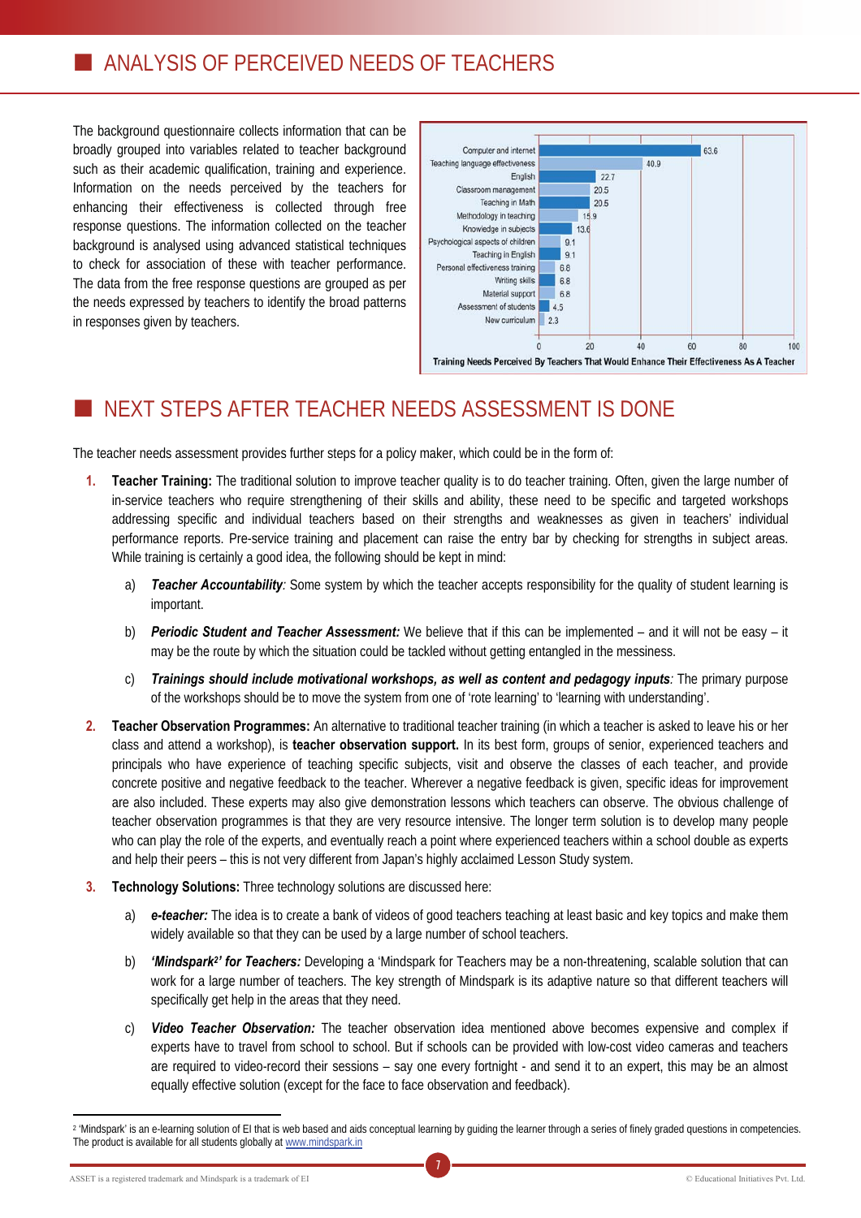The background questionnaire collects information that can be broadly grouped into variables related to teacher background such as their academic qualification, training and experience. Information on the needs perceived by the teachers for enhancing their effectiveness is collected through free response questions. The information collected on the teacher background is analysed using advanced statistical techniques to check for association of these with teacher performance. The data from the free response questions are grouped as per the needs expressed by teachers to identify the broad patterns in responses given by teachers.



# NEXT STEPS AFTER TEACHER NEEDS ASSESSMENT IS DONE

The teacher needs assessment provides further steps for a policy maker, which could be in the form of:

- **1. Teacher Training:** The traditional solution to improve teacher quality is to do teacher training. Often, given the large number of in-service teachers who require strengthening of their skills and ability, these need to be specific and targeted workshops addressing specific and individual teachers based on their strengths and weaknesses as given in teachers' individual performance reports. Pre-service training and placement can raise the entry bar by checking for strengths in subject areas. While training is certainly a good idea, the following should be kept in mind:
	- a) *Teacher Accountability:* Some system by which the teacher accepts responsibility for the quality of student learning is important.
	- b) *Periodic Student and Teacher Assessment:* We believe that if this can be implemented and it will not be easy it may be the route by which the situation could be tackled without getting entangled in the messiness.
	- c) *Trainings should include motivational workshops, as well as content and pedagogy inputs:* The primary purpose of the workshops should be to move the system from one of 'rote learning' to 'learning with understanding'.
- **2. Teacher Observation Programmes:** An alternative to traditional teacher training (in which a teacher is asked to leave his or her class and attend a workshop), is **teacher observation support.** In its best form, groups of senior, experienced teachers and principals who have experience of teaching specific subjects, visit and observe the classes of each teacher, and provide concrete positive and negative feedback to the teacher. Wherever a negative feedback is given, specific ideas for improvement are also included. These experts may also give demonstration lessons which teachers can observe. The obvious challenge of teacher observation programmes is that they are very resource intensive. The longer term solution is to develop many people who can play the role of the experts, and eventually reach a point where experienced teachers within a school double as experts and help their peers – this is not very different from Japan's highly acclaimed Lesson Study system.
- **3. Technology Solutions:** Three technology solutions are discussed here:
	- a) *e-teacher:* The idea is to create a bank of videos of good teachers teaching at least basic and key topics and make them widely available so that they can be used by a large number of school teachers.
	- b) *'Mindspark2' for Teachers:* Developing a 'Mindspark for Teachers may be a non-threatening, scalable solution that can work for a large number of teachers. The key strength of Mindspark is its adaptive nature so that different teachers will specifically get help in the areas that they need.
	- c) *Video Teacher Observation:* The teacher observation idea mentioned above becomes expensive and complex if experts have to travel from school to school. But if schools can be provided with low-cost video cameras and teachers are required to video-record their sessions – say one every fortnight - and send it to an expert, this may be an almost equally effective solution (except for the face to face observation and feedback).

ASSET is a registered trademark and Mindspark is a trademark of EI

 $\overline{a}$ 

<sup>7</sup> <sup>2</sup> 'Mindspark' is an e-learning solution of EI that is web based and aids conceptual learning by guiding the learner through a series of finely graded questions in competencies. The product is available for all students globally at www.mindspark.in